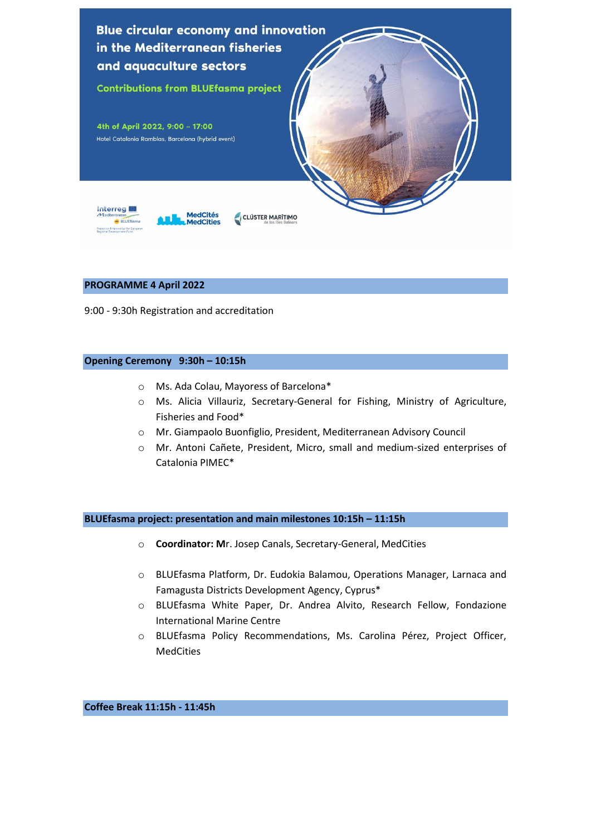

### **PROGRAMME 4 April 2022**

9:00 - 9:30h Registration and accreditation

### **Opening Ceremony 9:30h – 10:15h**

- o Ms. Ada Colau, Mayoress of Barcelona\*
- o Ms. Alicia Villauriz, Secretary-General for Fishing, Ministry of Agriculture, Fisheries and Food\*
- o Mr. Giampaolo Buonfiglio, President, Mediterranean Advisory Council
- o Mr. Antoni Cañete, President, Micro, small and medium-sized enterprises of Catalonia PIMEC\*

**BLUEfasma project: presentation and main milestones 10:15h – 11:15h**

- o **Coordinator: M**r. Josep Canals, Secretary-General, MedCities
- o BLUEfasma Platform, Dr. Eudokia Balamou, Operations Manager, Larnaca and Famagusta Districts Development Agency, Cyprus\*
- o BLUEfasma White Paper, Dr. Andrea Alvito, Research Fellow, Fondazione International Marine Centre
- o BLUEfasma Policy Recommendations, Ms. Carolina Pérez, Project Officer, MedCities

**Coffee Break 11:15h - 11:45h**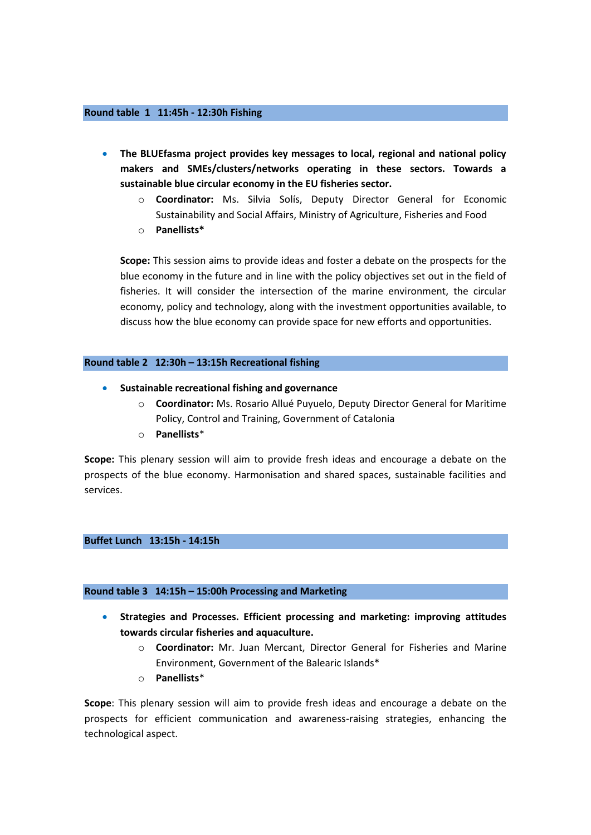### **Round table 1 11:45h - 12:30h Fishing**

- **The BLUEfasma project provides key messages to local, regional and national policy makers and SMEs/clusters/networks operating in these sectors. Towards a sustainable blue circular economy in the EU fisheries sector.**
	- o **Coordinator:** Ms. Silvia Solís, Deputy Director General for Economic Sustainability and Social Affairs, Ministry of Agriculture, Fisheries and Food
	- o **Panellists\***

**Scope:** This session aims to provide ideas and foster a debate on the prospects for the blue economy in the future and in line with the policy objectives set out in the field of fisheries. It will consider the intersection of the marine environment, the circular economy, policy and technology, along with the investment opportunities available, to discuss how the blue economy can provide space for new efforts and opportunities.

## **Round table 2 12:30h – 13:15h Recreational fishing**

- **Sustainable recreational fishing and governance** 
	- o **Coordinator:** Ms. Rosario Allué Puyuelo, Deputy Director General for Maritime Policy, Control and Training, Government of Catalonia
	- o **Panellists**\*

**Scope:** This plenary session will aim to provide fresh ideas and encourage a debate on the prospects of the blue economy. Harmonisation and shared spaces, sustainable facilities and services.

# **Buffet Lunch 13:15h - 14:15h**

### **Round table 3 14:15h – 15:00h Processing and Marketing**

- **Strategies and Processes. Efficient processing and marketing: improving attitudes towards circular fisheries and aquaculture.** 
	- o **Coordinator:** Mr. Juan Mercant, Director General for Fisheries and Marine Environment, Government of the Balearic Islands\*
	- o **Panellists**\*

**Scope**: This plenary session will aim to provide fresh ideas and encourage a debate on the prospects for efficient communication and awareness-raising strategies, enhancing the technological aspect.